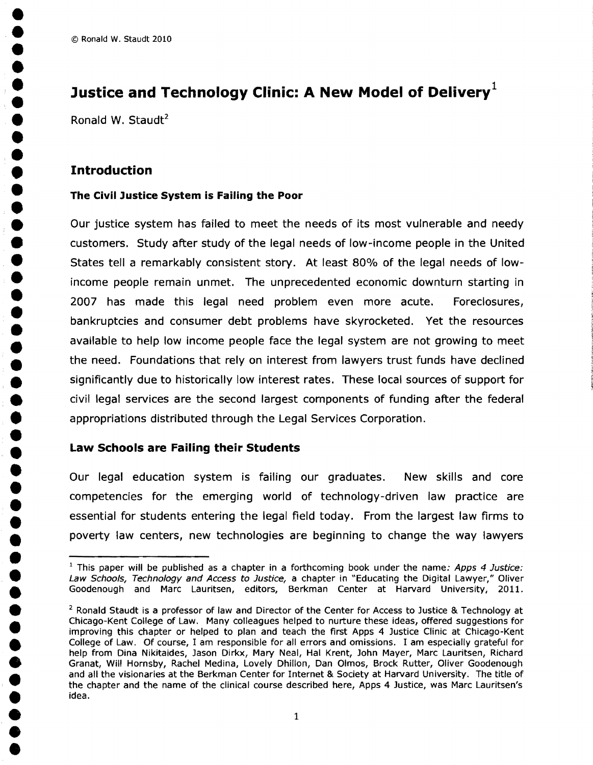## Justice and Technology Clinic: A New Model of Delivery<sup>1</sup>

Ronald W. Staudt<sup>2</sup>

• • •

**•**<br>•

•

•<br>•

•<br>•<br>•

•<br>•

•<br>•

•<br>•

•<br>•

•<br>•<br>•

•<br>•<br>•

• •

**e**<br>•

**•**<br>•

**•**<br>• •<br>•

**••** •<br>•

•

•<br>•

# **Findroduction**<br>• The Civil Justice System is Failing the Poor

Our justice system has failed to meet the needs of its most vulnerable and needy • customers. Study after study of the legal needs of low-income people in the United States tell a remarkably consistent story. At least 80% of the legal needs of low income people remain unmet. The unprecedented economic downturn starting in 2007 has made this legal need problem even more acute. Foreclosures, **•** bankruptcies and consumer debt problems have skyrocketed. Yet the resources<br> **•** available to help low income people face the legal system are not growing to meet • available to help low income people face the legal system are not growing to meet<br>
the need. Foundations that rely on interest from lawyers trust funds have declined • the need. Foundations that rely on interest from lawyers trust funds have declined<br>• significantly due to historically low interest rates. These local sources of support for examples and the material states. These local sources of support for<br>eivil legal services are the second largest components of funding after the federal • civil legal services are the second largest components of funding after the federal appropriations distributed through the Legal Services Corporation.

### • **Law Schools are Failing their Students** •

Our legal education system is failing our graduates. New skills and core competencies for the emerging world of technology-driven law practice are essential for students entering the legal field today. From the largest law firms to poverty law centers, new technologies are beginning to change the way lawyers<br>  $\frac{1}{1}$  This paper will be published as a chapter in a forthcoming book under the name: Apps 4 Justice:

example and the published as a chapter in a forthcoming book under the name: Apps 4 Justice:<br>
Law Schools, Technology and Access to Justice, a chapter in "Educating the Digital Lawyer," Oliver Goodenough and Marc Lauritsen, editors, Berkman Center at Harvard University, 2011.

 $2$  Ronald Staudt is a professor of law and Director of the Center for Access to Justice & Technology at Chicago-Kent College of Law. Many colleagues helped to nurture these ideas, offered suggestions for improving this chapter or helped to plan and teach the first Apps 4 Justice Clinic at Chicago-Kent College of Law. Of course, I am responsible for all errors and omissions. I am especially grateful for help from Dina Nikitaides, Jason Dirkx, Mary Neal, Hal Krent, John Mayer, Marc Lauritsen, Richard Granat, Will Hornsby, Rachel Medina, Lovely Dhillon, Dan Olmos, Brock Rutter, Oliver Goodenough and all the visionaries at the Berkman Center for Internet & Society at Harvard University. The title of the chapter and the name of the clinical course described here, Apps 4 Justice, was Marc Lauritsen's idea.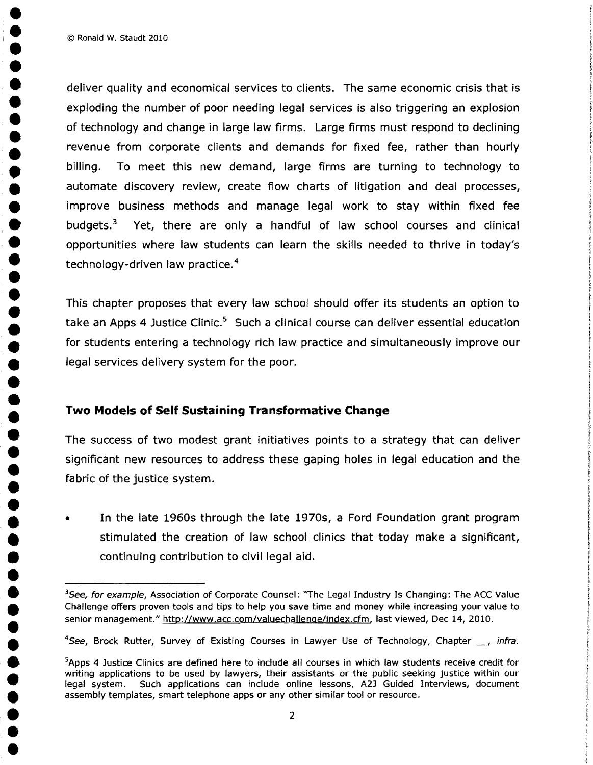$\bullet$  Ronald W. Staudt 2010

• • •

**•**<br>• •<br>•

•<br>•

•

**• • • •** 

•<br>•

•<br>•

•<br>•

•<br>•

• • •

•<br>•<br>•

•<br>•<br>•

**•**<br>•

**e**<br>•

• • • • •

deliver quality and economical services to clients. The same economic crisis that is exploding the number of poor needing legal services is also triggering an explosion of technology and change in large law firms. Large firms must respond to declining revenue from corporate clients and demands for fixed fee, rather than hourly • billing. To meet this new demand, large firms are turning to technology to<br>• automate discovery review, create flow charts of litigation and deal processes, • antingth is mode and hew demandy large mind are earning to teembogy to<br>
automate discovery review, create flow charts of litigation and deal processes,<br>
improve business methods and manage legal work to stay within fixed • improve business methods and manage legal work to stay within fixed fee<br>• budgets.<sup>3</sup> Yet, there are only a handful of law school courses and clinical improve business methods and manage legal work to stay within fixed ree<br>budgets.<sup>3</sup> Yet, there are only a handful of law school courses and clinical<br>opportunities where law students can learn the skills needed to thrive in opportunities where law students can learn the skills needed to thrive in today's technology-driven law practice.<sup>4</sup>

> This chapter proposes that every law school should offer its students an option to take an Apps 4 Justice Clinic. $5$  Such a clinical course can deliver essential education • for students entering a technology rich law practice and simultaneously improve our legal services delivery system for the poor.

### • • **Two Models of Self Sustaining Transformative Change**

The success of two modest grant initiatives points to a strategy that can deliver significant new resources to address these gaping holes in legal education and the fabric of the justice system.

• In the late 1960s through the late 1970s, a Ford Foundation grant program<br>
stimulated the creation of law school clinics that today make a significant, • If the face 1500s through the face 1570s, a Ford Foundation grant program<br>stimulated the creation of law school clinics that today make a significant,<br>continuing contribution to civil legal aid. • continuing contribution to civil legal aid.

<sup>&</sup>lt;sup>3</sup>See, for example, Association of Corporate Counsel: "The Legal Industry Is Changing: The ACC Value Challenge offers proven tools and tips to help you save time and money while increasing your value to Challenge offers p senior management." http://www.acc.com/valuechallenge/index.cfm, last viewed, Dec 14, 2010.

<sup>&</sup>lt;sup>4</sup>See, Brock Rutter, Survey of Existing Courses in Lawyer Use of Technology, Chapter *\_\_, infra.*<br><sup>5</sup>Apps 4 Justice Clinics are defined here to include all courses in which law students receive credit for

<sup>•</sup> See, Brock Ratter, Sarvey of Existing Courses in Early er ose of Technology, Chapter 2, Inna.<br>• <sup>5</sup>Apps 4 Justice Clinics are defined here to include all courses in which law students receive credit for<br>• irriting applic writing applications to be used by lawyers, their assistants or the public seeking justice within our legal system. Such applications can include online lessons, A2J Guided Interviews, document assembly templates, smart telephone apps or any other similar tool or resource.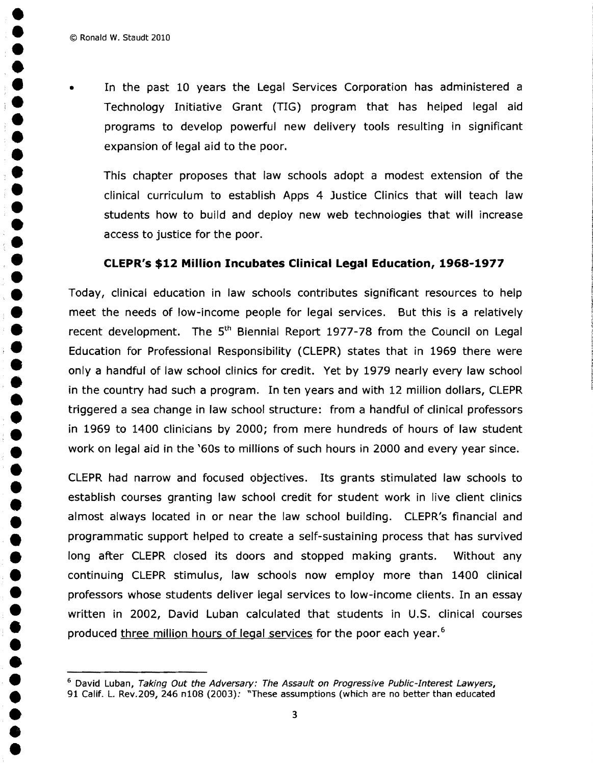• • • • •

• • •

•<br>•

**e**<br>•

•<br>•

•<br>• •<br>•

**•**<br>• •<br>•

• •• • • • • • • • •

• • •

•<br>•

•<br>•

**• • • • •** 

•

• In the past 10 years the Legal Services Corporation has administered a Technology Initiative Grant (TIG) program that has helped legal aid • programs to develop powerful new delivery tools resulting in significant expansion of legal aid to the poor.

This chapter proposes that law schools adopt a modest extension of the clinical curriculum to establish Apps 4 Justice Clinics that will teach law students how to build and deploy new web technologies that will increase access to justice for the poor.

### • **CLEPR's \$12 Million Incubates Clinical Legal Education, 1968-1977**

Today, clinical education in law schools contributes significant resources to help<br>meet the needs of low-income people for legal services. But this is a relatively roday, clinical education in law schools contributes significant resources to help<br>meet the needs of low-income people for legal services. But this is a relatively<br>recent development. The 5<sup>th</sup> Biennial Report 1977-78 from Education for Professional Responsibility (CLEPR) states that in 1969 there were • only a handful of law school clinics for credit. Yet by 1979 nearly every law school in the country had such a program. In ten years and with 12 million dollars, CLEPR triggered a sea change in law school structure: from a handful of clinical professors in 1969 to 1400 clinicians by 2000; from mere hundreds of hours of law student work on legal aid in the '60s to millions of such hours in 2000 and every year since.

> CLEPR had narrow and focused objectives. Its grants stimulated law schools to establish courses granting law school credit for student work in live client clinics almost always located in or near the law school building. CLEPR's financial and programmatic support helped to create a self-sustaining process that has survived long after CLEPR closed its doors and stopped making grants. Without any • continuing CLEPR stimulus, law schools now employ more than 1400 clinical professors whose students deliver legal services to low-income clients. In an essay written in 2002, David Luban calculated that students in U.S. clinical courses produced three million hours of legal services for the poor each year.<sup>6</sup>

<sup>&</sup>lt;sup>6</sup> David Luban, *Taking Out the Adversary: The Assault on Progressive Public-Interest Lawyers,*<br>91 Calif. L. Rev.209, 246 n108 (2003): "These assumptions (which are no better than educated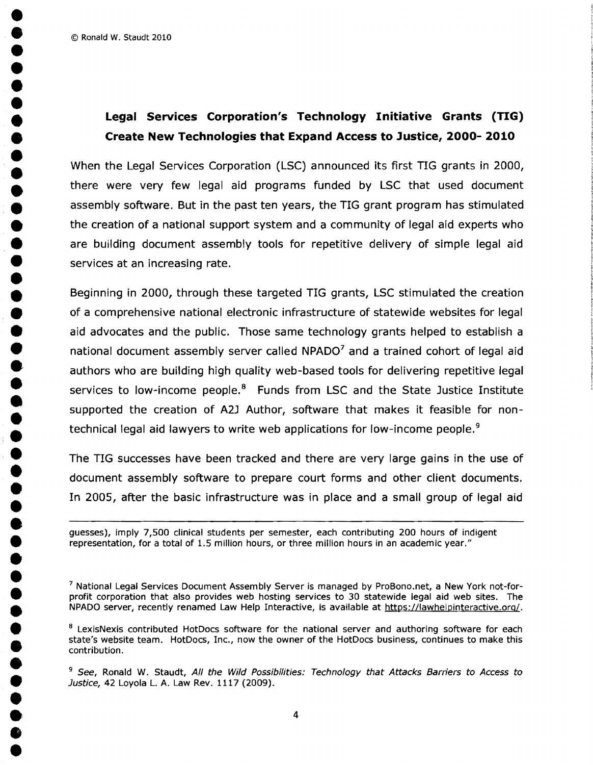© Ronald W. Staudt 2010 •

• • • • •

**•**<br>•

•<br>•

**•**<br>• **•**<br>•

• • •

•<br>•<br>• •<br>•<br>•

•<br>•<br>•

**•**<br>•

•<br>•

•<br>•<br>•

**•••** •

.<br>.<br>.<br>. •<br>•

•<br>•

•<br>•

•<br>•

•<br>•

## • **Legal Services Corporation's Technology Initiative Grants (TIG)** • **Create New Technologies that Expand Access to Justice, 2000- 2010** Create New Technologies that Expand Access to Justice, 2000-2010

• • When the legal Services Corporation (lSC) announced its first TIG grants in 2000, • there were very few legal aid programs funded by LSC that used document<br>assembly software. But in the past ten years, the TIG grant program has stimulated assembly software. But in the past ten years, the TIG grant program has stimulated the creation of a national support system and a community of legal aid experts who are building document assembly tools for repetitive delivery of simple legal aid services at an increasing rate.

Beginning in 2000, through these targeted TIG grants, LSC stimulated the creation<br>of a comprehensive national electronic infrastructure of statewide websites for legal aid advocates and the public. Those same technology grants helped to establish a or a comprenensive national electronic infrastructure or statewide websites for legal<br>aid advocates and the public. Those same technology grants helped to establish a<br>national document assembly server called NPADO<sup>7</sup> and a authors who are building high quality web-based tools for delivering repetitive legal services to low-income people. $8$  Funds from LSC and the State Justice Institute supported the creation of A2J Author, software that makes it feasible for non technical legal aid lawyers to write web applications for low-income people.<sup>9</sup>

• The TIG successes have been tracked and there are very large gains in the use of • document assembly software to prepare court forms and other client documents. In 2005, after the basic infrastructure was in place and a small group of legal aid

• guesses), imply 7,500 clinical students per semester, each contributing 200 hours of indigent representation, for a total of 1.5 million hours, or three million hours in an academic year."

<sup>7</sup> National Legal Services Document Assembly Server is managed by ProBono.net, a New York not-forprofit corporation that also provides web hosting services to 30 statewide legal aid web sites. The NPADO server, recently renamed Law Help Interactive, is available at https://lawhelpinteractive.org/.

<sup>8</sup> LexisNexis contributed HotDocs software for the national server and authoring software for each state's website team. HotDocs, Inc., now the owner of the HotDocs business, continues to make this contribution.

<sup>9</sup> See, Ronald W. Staudt, All the Wild Possibilities: Technology that Attacks Barriers to Access to Justice, 42 Loyola L. A. Law Rev. 1117 (2009).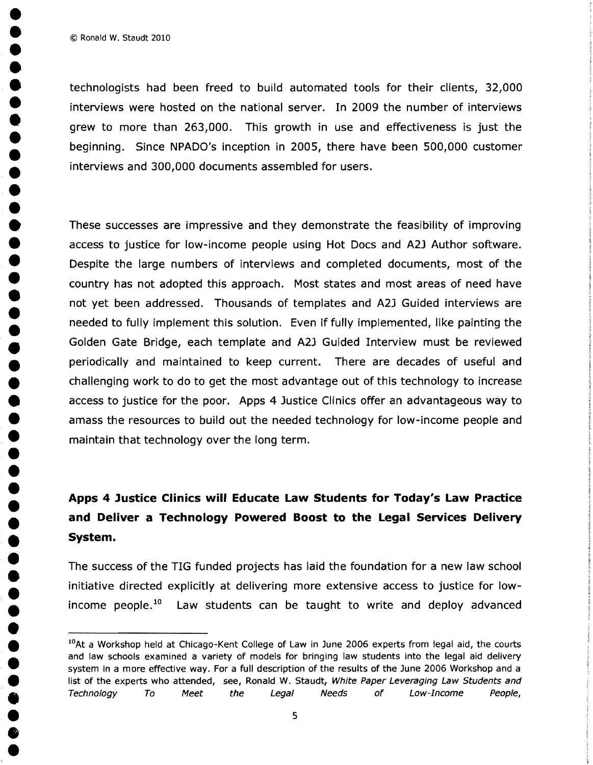• © Ronald W. Staudt 2010

•

•<br>•

•<br>•

•<br>•<br>•

**•**<br>• •<br>•

•<br>•

•<br>•

•<br>•

•<br>•

**•**<br>•

•<br>• •<br>•

•<br>•

**••** 

•<br>•

•<br>•

•<br>•<br>•

•

**••** •<br>•<br>• technologists had been freed to build automated tools for their clients, 32,000 interviews were hosted on the national server. In 2009 the number of interviews • grew to more than *<sup>263</sup> /000.* This growth in use and effectiveness is just the beginning. Since NPADO's inception in 2005, there have been 500,000 customer • interviews and *300/000* documents assembled for users.

These successes are impressive and they demonstrate the feasibility of improving • access to justice for low-income people using Hot Docs and A2J Author software. Despite the large numbers of interviews and completed documents, most of the • country has not adopted this approach. Most states and most areas of need have<br>
not yet been addressed. Thousands of templates and A2J Guided interviews are<br>
■ sected to fall the set this set the set the Free if falls i not yet been addressed. Thousands of templates and A2J Guided interviews are needed to fully implement this solution. Even if fully implemented, like painting the<br>Golden Gate Bridge, each template and A2J Guided Interview must be reviewed • Golden Gate Bridge, each template and A2J Guided Interview must be reviewed<br>• Periodically and maintained to keep current. There are decades of useful and • periodically and maintained to keep current. There are decades of useful and challenging work to do to get the most advantage out of this technology to increase challenging work to do to get the most advantage out of this technology to increase<br>access to justice for the poor. Apps 4 Justice Clinics offer an advantageous way to ● Branding work to do to get the most advantage out of this technology to increase<br>■ access to justice for the poor. Apps 4 Justice Clinics offer an advantageous way to amass the resources to build out the needed technolo maintain that technology over the long term.

# • • **Apps 4 Justice Clinics will Educate Law Students for Today's Law Practice • and Deliver a Technology Powered Boost to the Legal Services Delivery System.** • **System.**

• The success of the TIG funded projects has laid the foundation for a new law school initiative directed explicitly at delivering more extensive access to justice for low-<br>income people.<sup>10</sup> Law students can be taught to write and deploy advanced Law students can be taught to write and deploy advanced

<sup>&</sup>lt;sup>10</sup>At a Workshop held at Chicago-Kent College of Law in June 2006 experts from legal aid, the courts *and law schools examined a variety of models for bringing law students into the legal aid delivery* system in a more effective way. For a full description of the results of the June 2006 Workshop and a list of the experts who attended, see, Ronald W. Staudt, White Paper Leveraging Law Students and Technology To Meet the Legal Needs of Low-Income People,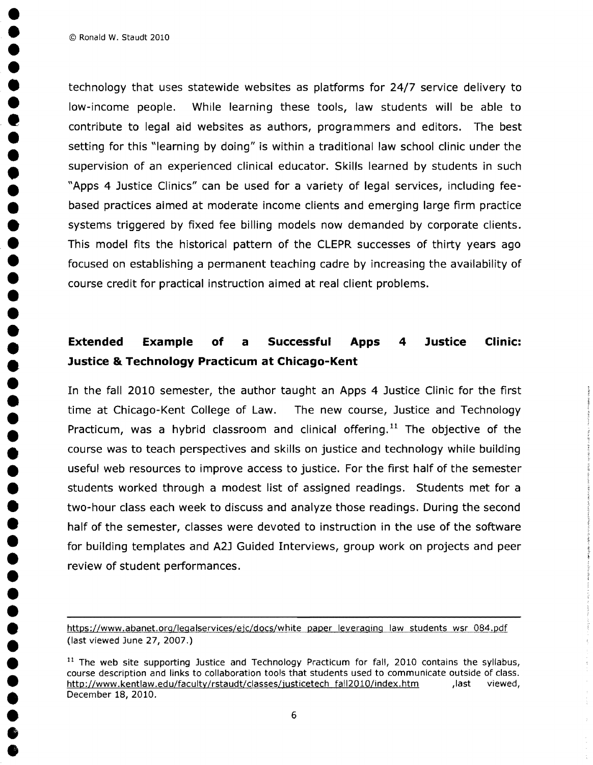• © Ronald W. Staudt 2010

•

•<br>•

•<br>•<br>•

•<br>•<br>•

•<br>•<br>•

•<br>•

•<br>•

•<br>•

**•**<br>•

•<br>•

•<br>•

•<br>•<br>•

•<br>•

•<br>•

•<br>•

**••** 

**•**<br>• •<br>•<br>•

•<br>•

**•**<br>• •<br>•

•<br>•

technology that uses statewide websites as platforms for 24/7 service delivery to<br>low-income people. While learning these tools, law students will be able to While learning these tools, law students will be able to contribute to legal aid websites as authors, programmers and editors. The best<br>setting for this "learning by doing" is within a traditional law school clinic under the<br>supervision of an experienced clinical educator. Skill • setting for this "learning by doing" is within a traditional law school clinic under the • supervision of an experienced clinical educator. Skills learned by students in such<br>
• "Apps 4 Justice Clinics" can be used for a variety of legal services, including fee-• "Apps 4 Justice Clinics" can be used for a variety of legal services, including fee-<br>based practices aimed at moderate income clients and emerging large firm practice based practices aimed at moderate income clients and emerging large firm practice systems triggered by fixed fee billing models now demanded by corporate clients. This model fits the historical pattern of the CLEPR successes of thirty years ago focused on establishing a permanent teaching cadre by increasing the availability of course credit for practical instruction aimed at real client problems.

# • • **Extended Example of a Successful Apps 4 Justice Clinic:** • **Justice &. Technology Practicum at Chicago-Kent**

In the fall 2010 semester, the author taught an Apps 4 Justice Clinic for the first<br>time at Chicago-Kent College of Law. The new course, Justice and Technology • time at Chicago-Kent College of Law. The new course, Justice and Technology<br>• Practicum, was a hybrid classroom and clinical offering.<sup>11</sup> The objective of the • Practicum, was a hybrid classroom and clinical offering.<sup>11</sup> The objective of the<br>
course was to teach perspectives and skills on justice and technology while building • course was to teach perspectives and skills on justice and technology while building<br>useful web resources to improve access to justice. For the first half of the semester • useful web resources to improve access to justice. For the first half of the semester<br>■ students worked through a modest list of assigned readings. Students met for a students worked through a modest list of assigned readings. Students met for a two-hour class each week to discuss and analyze those readings. During the second half of the semester, classes were devoted to instruction in the use of the software for building templates and A2J Guided Interviews, group work on projects and peer review of student performances.

https://www.abanet.org/legalservices/ejc/docs/white paper leveraging law students wsr 084.pdf (last viewed June 27, 2007.)

<sup>&</sup>lt;sup>11</sup> The web site supporting Justice and Technology Practicum for fall, 2010 contains the syllabus,<br>course description and links to collaboration tools that students used to communicate outside of class.<br>http://www.kentlaw course description and links to collaboration tools that students used to communicate outside of class. ● http://www.kentlaw.edu/faculty/rstaudt/classes/justicetech fall2010/index.htm ,last viewed,<br>December 18, 2010. <br>● 6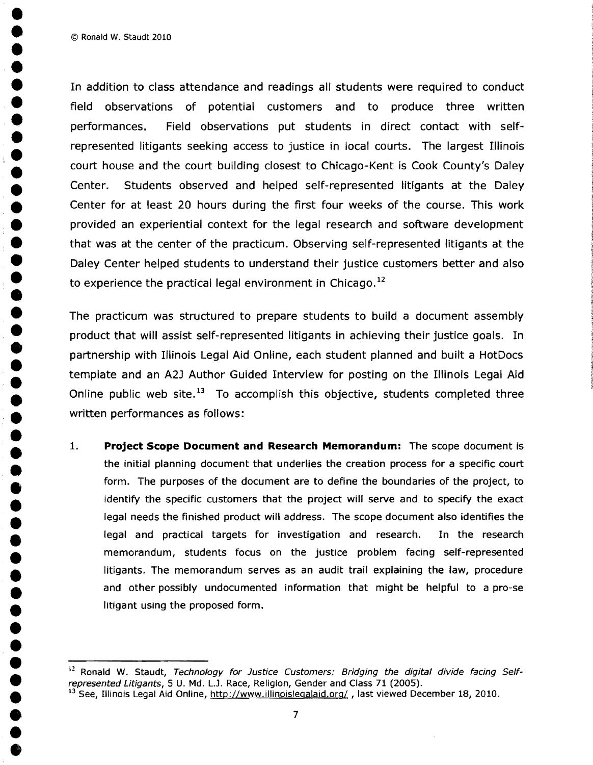© Ronald W. Staudt 2010

• •

•<br>•

•<br>•

**e**<br>•

•<br>•

•<br>•

•<br>•

•<br>•

**••** 

• • •

•<br>•

**•**<br>•

• •

**•**<br>• •<br>•

•<br>•

•<br>•

**•**<br>• •<br>•

•

•<br>• In addition to class attendance and readings all students were required to conduct<br>• • • • • field observations of potential customers and to produce three written • performances. Field observations put students in direct contact with self<br>• represented litigants seeking access to justice in local courts. The largest Illinoi represented litigants seeking access to justice in local courts. The largest Illinois e court house and the court building closest to Chicago-Kent is Cook County's Daley<br>Center. Students observed and helped self-represented litigants at the Daley Center for at least 20 hours during the first four weeks of the course. This work • Center for at least 20 hours during the first four weeks of the course. This work<br>• provided an experiential context for the legal research and software development • excellent for at reast 20 hours during the mst four weeks of the course. This work<br>• provided an experiential context for the legal research and software development<br>• that was at the center of the practicum. Observing s that was at the center of the practicum. Observing self-represented litigants at the • Daley Center helped students to understand their justice customers better and also to experience the practical legal environment in Chicago.<sup>12</sup>

• The practicum was structured to prepare students to build a document assembly • product that will assist self-represented litigants in achieving their justice goals. In template and an A2J Author Guided Interview for posting on the Illinois Legal Aid **•** template and an A2J Author Guided Interview for posting on the Illinois Legal Aid<br>Online public web site.<sup>13</sup> To accomplish this objective, students completed three  $\bullet$  Online public web site.<sup>13</sup> To accomplish this objective, students completed three written performances as follows: written performances as follows:<br>1. Project Scope Document a

• 1. **Project Scope Document and Research Memorandum:** The scope document is the initial planning document that underlies the creation process for a specific court form. The purposes of the document are to define the boundaries of the project, to identify the specific customers that the project will serve and to specify the exact legal needs the finished product will address. The scope document also identifies the legal and practical targets for investigation and research. In the research<br>
memorandum, students focus on the justice problem facing self-represented • memorandum, students focus on the justice problem facing self-represented<br>litigants. The memorandum serves as an audit trail explaining the law, procedure litigants. The memorandum serves as an audit trail explaining the law, procedure and other possibly undocumented information that might be helpful to a pro-se litigant using the proposed form.

<sup>&</sup>lt;sup>12</sup> Ronald W. Staudt, Technology for Justice Customers: Bridging the digital divide facing Selfrepresented Litigants, 5 U. Md. L.J. Race, Religion, Gender and Class 71 (2005).

<sup>&</sup>lt;sup>13</sup> See, Illinois Legal Aid Online, http://www.illinoislegalaid.org/, last viewed December 18, 2010.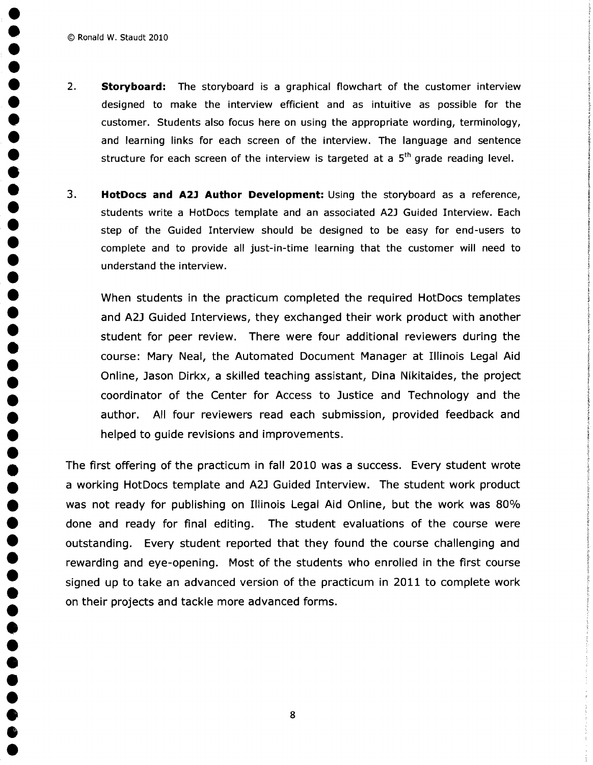•

•<br>•

•<br>•

•<br>•

•<br>•

•<br>•

•<br>•

•<br>•

•<br>•<br>•

**•**<br>•

•<br>•

•<br>•

•<br>•<br>•

•<br>•<br>•

•<br>• •<br>•<br>•

**•**<br>• •<br>•<br>• **•**<br>• **•**<br>• **•• •••** •<br>•<br>•

•

- 2. **Storyboard:** The storyboard is a graphical flowchart of the customer interview designed to make the interview efficient and as intuitive as possible for the customer. Students also focus here on using the appropriate wording, terminology, and learning links for each screen of the interview. The language and sentence structure for each screen of the interview is targeted at a  $5<sup>th</sup>$  grade reading level.
- 3. **HotDocs and A2l Author Development:** Using the storyboard as a reference, students write a HotDocs template and an associated A2J Guided Interview. Each • step of the Guided Interview should be designed to be easy for end-users to • complete and to provide all just-in-time learning that the customer will need to understand the interview.

• When students in the practicum completed the required HotDocs templates and A2J Guided Interviews, they exchanged their work product with another student for peer review. There were four additional reviewers during the course: Mary Neal, the Automated Document Manager at Illinois Legal Aid<br>Online, Jason Dirkx, a skilled teaching assistant, Dina Nikitaides, the project<br>coordinator of the Center for Access to Justice and Technology and the Online, Jason Dirkx, a skilled teaching assistant, Dina Nikitaides, the project • coordinator of the Center for Access to Justice and Technology and the<br>
author. All four reviewers read each submission, provided feedback and • author. All four reviewers read each submission, provided feedback and<br>
helped to guide revisions and improvements. helped to guide revisions and improvements.

The first offering of the practicum in fall 2010 was a success. Every student wrote a working HotDocs template and A2J Guided Interview. The student work product<br>was not ready for publishing on Illinois Legal Aid Online, but the work was 80% ● ■ MOTATING TIOLDOCS LETTIFIALE ATIO AZJ GUIDED TITLET VIEW. THE SLUDENT WOTK PROUDLE<br>■ Was not ready for publishing on Illinois Legal Aid Online, but the work was 80%<br>■ done and ready for final editing. The student eval outstanding. Every student reported that they found the course challenging and rewarding and eye-opening. Most of the students who enrolled in the first course signed up to take an advanced version of the practicum in 2011 to complete work on their projects and tackle more advanced forms.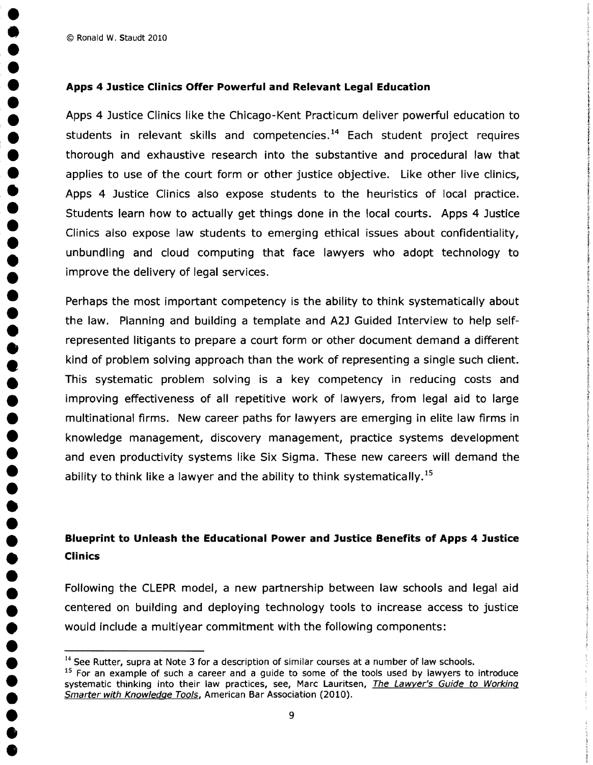© Ronald W. Staudt 2010 •

**•**<br>•

•<br>•

•<br>•

•<br>•

•<br>•

•<br>•

•<br>•

•<br>•

●<br>●

•<br>•<br>•

•<br>•<br>•

•<br>•

**••** 

•<br>•

<del>●</del><br>●

**••** 

**•**<br>•

•<br>•

•<br>•

•<br>•

**••** •<br>•<br>•

• **Apps 4 Justice Clinics Offer Powerful and Relevant Legal Education** • students in relevant skills and competencies.<sup>14</sup> Each student project requires<br>thorough and exhaustive research into the substantive and procedural law that<br>applies to use of the court form or other justice objective. Lik Apps 4 Justice Clinics also expose students to the heuristics of local practice. applies to use of the court form or other justice objective. Like other live clinics,<br>Apps 4 Justice Clinics also expose students to the heuristics of local practice.<br>Students learn how to actually get things done in the l Students learn how to actually get things done in the local courts. Apps 4 Justice Clinics also expose law students to emerging ethical issues about confidentiality, unbundling and cloud computing that face lawyers who adopt technology to improve the delivery of legal services.

 • Perhaps the most important competency is the ability to think systematically about the law. Planning and building a template and A2J Guided Interview to help self represented litigants to prepare a court form or other document demand a different kind of problem solving approach than the work of representing a single such client. This systematic problem solving is a key competency in reducing costs and<br>improving effectiveness of all repetitive work of lawyers, from legal aid to large improving effectiveness of all repetitive work of lawyers, from legal aid to large<br>multinational firms. New career paths for lawyers are emerging in elite law firms in • multinational firms. New career paths for lawyers are emerging in elite law firms in<br>• knowledge management, discovery management, practice systems development • Finantinational firms. New career paths for lawyers are emerging in enter aw firms in<br>• knowledge management, discovery management, practice systems development<br>• and even productivity systems like Six Siama. These new c and even productivity systems like Six Sigma. These new careers will demand the ability to think like a lawyer and the ability to think systematically.<sup>15</sup>

# • **Blueprint to Unleash the Educational Power and Justice Benefits of Apps 4 Justice** • **Clinics** •

• Following the CLEPR model, a new partnership between law schools and legal aid • centered on building and deploying technology tools to increase access to justice • would include a multiyear commitment with the following components:

 $^{14}$  See Rutter, supra at Note 3 for a description of similar courses at a number of law schools.<br><sup>15</sup> For an example of such a career and a guide to some of the tools used by lawyers to introduce

systematic thinking into their law practices, see, Marc Lauritsen, The Lawyer's Guide to Working Smarter with Knowledge Tools, American Bar Association (2010).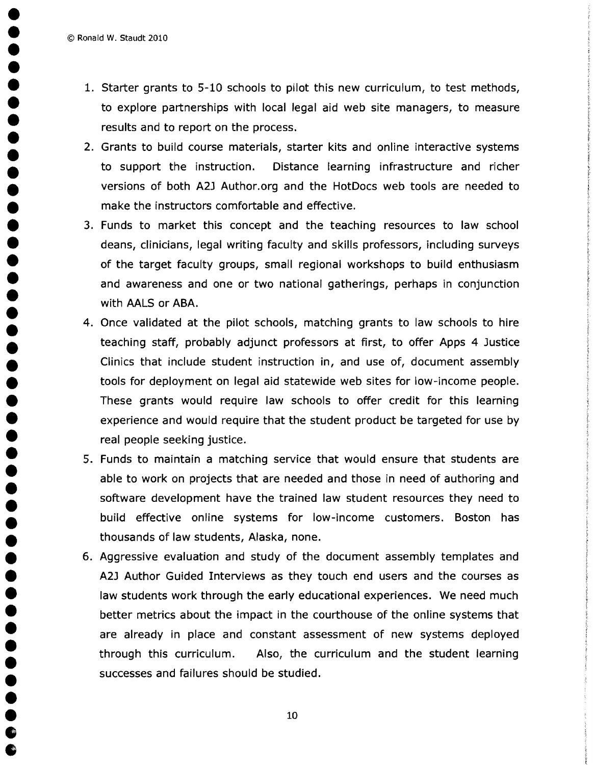© Ronald W. Staudt 2010 •

•

•<br>•

•<br>•

•<br>•

•<br>•

•<br>•

•<br>•

•<br>•

•<br>•

•<br>•

•<br>•

•<br>•

•<br>•

•<br>•

•<br>•

•<br>•

•<br>•

•<br>•<br>•

•<br>•

- 1. Starter grants to 5-10 schools to pilot this new curriculum, to test methods, to explore partnerships with local legal aid web site managers, to measure results and to report on the process.
- 2. Grants to build course materials, starter kits and online interactive systems to support the instruction. Distance learning infrastructure and richer • to support the instruction. Distance learning infrastructure and richer<br>• versions of both A2J Author.org and the HotDocs web tools are needed to versions of both A2J Author.org and the HotDocs web tools are needed to<br>make the instructors comfortable and effective. • FORTHE PERSON FIRE FRAMENCES 2014 AND TOOL.<br>
The make the instructors comfortable and effective.<br>
3. Funds to market this concept and the teach
- 11ake the instructors comfortable and enective.<br>3. Funds to market this concept and the teaching resources to law school<br>deans, clinicians, legal writing faculty and skills professors, including surveys deans, clinicians, legal writing faculty and skills professors, including surveys • of the target faculty groups, small regional workshops to build enthusiasm and awareness and one or two national gatherings, perhaps in conjunction with AALS or ABA.
- 4. Once validated at the pilot schools, matching grants to law schools to hire<br>teaching staff, probably adjunct professors at first, to offer Apps 4 Justice • teaching staff, probably adjunct professors at first, to offer Apps 4 Justice<br>Clinics that include student instruction in, and use of, document assembly • Clinics that include student instruction in, and use of, document assembly<br>tools for deployment on legal aid statewide web sites for low-income people. tools for deployment on legal aid statewide web sites for low-income people.<br>These grants would require law schools to offer credit for this learning • Cools for deproyment on regard and statewide web sites for fow income people.<br>• These grants would require law schools to offer credit for this learning<br>• experience and would require that the student product be targeted experience and would require law schools to oner credit for this learning<br>experience and would require that the student product be targeted for use by<br>real people seeking justice. real people seeking justice.
	- 5. Funds to maintain a matching service that would ensure that students are able to work on projects that are needed and those in need of authoring and software development have the trained law student resources they need to • build effective online systems for low-income customers. Boston has thousands of law students, Alaska, none.<br>6. Aggressive evaluation and study of the document assembly templates and
- 6. Aggressive evaluation and study of the document assembly templates and • C. Aggressive evaluation and study of the document assembly templates and<br>• A2J Author Guided Interviews as they touch end users and the courses as<br>• law students work through the early educational experiences. We need m law students work through the early educational experiences. We need much better metrics about the impact in the courthouse of the online systems that are already in place and constant assessment of new systems deployed • through this curriculum. Also, the curriculum and the student learning successes and failures should be studied.  $\bullet$  10  $\bullet$  10